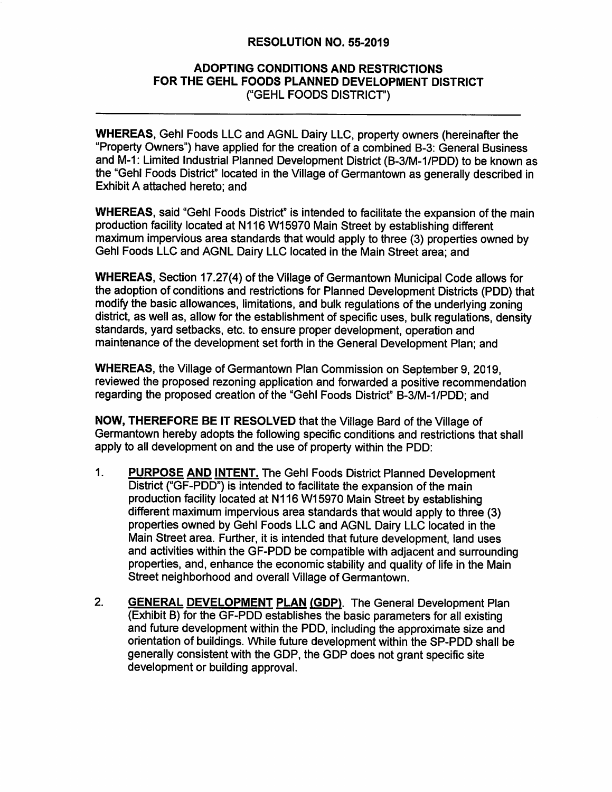#### **RESOLUTION NO. 55-2019**

#### **ADOPTING CONDITIONS AND RESTRICTIONS** FOR THE GEHL FOODS PLANNED DEVELOPMENT DISTRICT ("GEHL FOODS DISTRICT")

**WHEREAS, Gehl Foods LLC and AGNL Dairy LLC, property owners (hereinafter the** "Property Owners") have applied for the creation of a combined B-3: General Business and M-1: Limited Industrial Planned Development District (B-3/M-1/PDD) to be known as the "Gehl Foods District" located in the Village of Germantown as generally described in Exhibit A attached hereto: and

**WHEREAS, said "Gehl Foods District" is intended to facilitate the expansion of the main** production facility located at N116 W15970 Main Street by establishing different maximum impervious area standards that would apply to three (3) properties owned by Gehl Foods LLC and AGNL Dairy LLC located in the Main Street area; and

**WHEREAS, Section 17.27(4) of the Village of Germantown Municipal Code allows for** the adoption of conditions and restrictions for Planned Development Districts (PDD) that modify the basic allowances, limitations, and bulk regulations of the underlying zoning district, as well as, allow for the establishment of specific uses, bulk regulations, density standards, yard setbacks, etc. to ensure proper development, operation and maintenance of the development set forth in the General Development Plan: and

**WHEREAS, the Village of Germantown Plan Commission on September 9, 2019.** reviewed the proposed rezoning application and forwarded a positive recommendation regarding the proposed creation of the "Gehl Foods District" B-3/M-1/PDD; and

**NOW, THEREFORE BE IT RESOLVED that the Village Bard of the Village of** Germantown hereby adopts the following specific conditions and restrictions that shall apply to all development on and the use of property within the PDD:

- $1.$ **PURPOSE AND INTENT.** The Gehl Foods District Planned Development District ("GF-PDD") is intended to facilitate the expansion of the main production facility located at N116 W15970 Main Street by establishing different maximum impervious area standards that would apply to three (3) properties owned by Gehl Foods LLC and AGNL Dairy LLC located in the Main Street area. Further, it is intended that future development, land uses and activities within the GF-PDD be compatible with adjacent and surrounding properties, and, enhance the economic stability and quality of life in the Main Street neighborhood and overall Village of Germantown.
- $2.$ **GENERAL DEVELOPMENT PLAN (GDP).** The General Development Plan (Exhibit B) for the GF-PDD establishes the basic parameters for all existing and future development within the PDD, including the approximate size and orientation of buildings. While future development within the SP-PDD shall be generally consistent with the GDP, the GDP does not grant specific site development or building approval.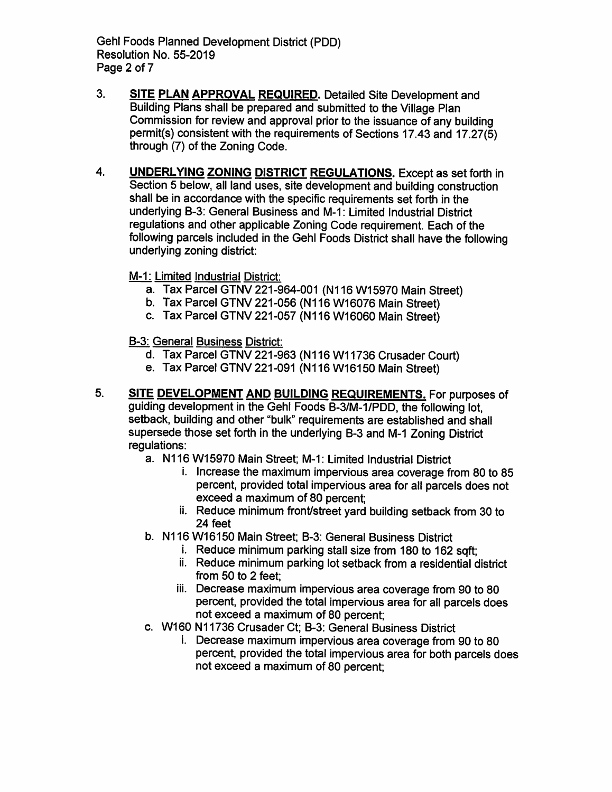**Gehl Foods Planned Development District (PDD)** Resolution No. 55-2019 Page 2 of 7

- $3.$ SITE PLAN APPROVAL REQUIRED. Detailed Site Development and Building Plans shall be prepared and submitted to the Village Plan Commission for review and approval prior to the issuance of any building permit(s) consistent with the requirements of Sections 17.43 and 17.27(5) through (7) of the Zoning Code.
- UNDERLYING ZONING DISTRICT REGULATIONS. Except as set forth in  $\mathbf{4}$ Section 5 below, all land uses, site development and building construction shall be in accordance with the specific requirements set forth in the underlying B-3: General Business and M-1: Limited Industrial District regulations and other applicable Zoning Code requirement. Each of the following parcels included in the Gehl Foods District shall have the following underlying zoning district:

#### M-1: Limited Industrial District:

- a. Tax Parcel GTNV 221-964-001 (N116 W15970 Main Street)
- b. Tax Parcel GTNV 221-056 (N116 W16076 Main Street)
- c. Tax Parcel GTNV 221-057 (N116 W16060 Main Street)

#### **B-3: General Business District:**

- d. Tax Parcel GTNV 221-963 (N116 W11736 Crusader Court)
- e. Tax Parcel GTNV 221-091 (N116 W16150 Main Street)
- 5. SITE DEVELOPMENT AND BUILDING REQUIREMENTS. For purposes of quiding development in the Gehl Foods B-3/M-1/PDD, the following lot, setback. building and other "bulk" requirements are established and shall supersede those set forth in the underlying B-3 and M-1 Zoning District regulations:
	- a. N116 W15970 Main Street; M-1: Limited Industrial District
		- i. Increase the maximum impervious area coverage from 80 to 85 percent, provided total impervious area for all parcels does not exceed a maximum of 80 percent:
		- ii. Reduce minimum front/street yard building setback from 30 to 24 feet
	- b. N116 W16150 Main Street; B-3: General Business District
		- i. Reduce minimum parking stall size from 180 to 162 sqft;
		- ii. Reduce minimum parking lot setback from a residential district from 50 to 2 feet:
		- iii. Decrease maximum impervious area coverage from 90 to 80 percent, provided the total impervious area for all parcels does not exceed a maximum of 80 percent:
	- c. W160 N11736 Crusader Ct; B-3: General Business District
		- i. Decrease maximum impervious area coverage from 90 to 80 percent, provided the total impervious area for both parcels does not exceed a maximum of 80 percent;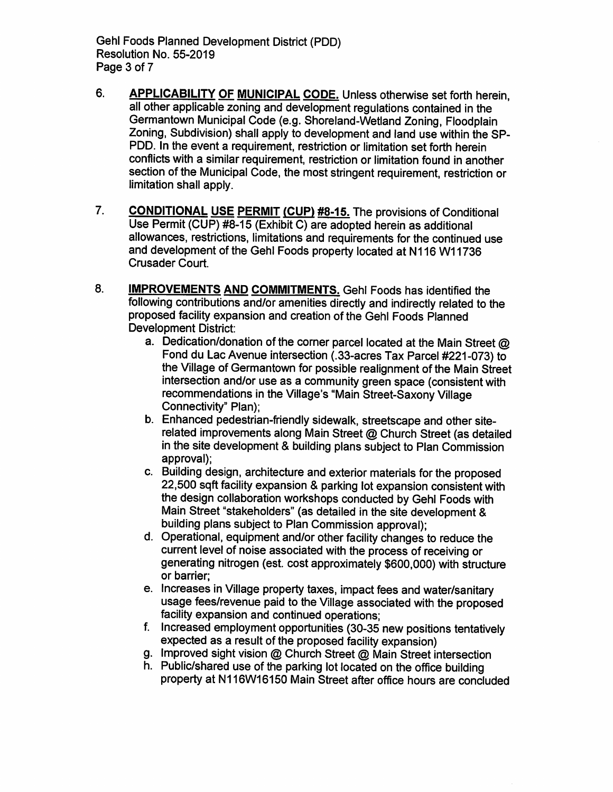**Gehl Foods Planned Development District (PDD)** Resolution No. 55-2019 Page 3 of 7

- 6. **APPLICABILITY OF MUNICIPAL CODE. Unless otherwise set forth herein.** all other applicable zoning and development regulations contained in the Germantown Municipal Code (e.g. Shoreland-Wetland Zoning, Floodplain Zoning, Subdivision) shall apply to development and land use within the SP-PDD. In the event a requirement, restriction or limitation set forth herein conflicts with a similar requirement, restriction or limitation found in another section of the Municipal Code, the most stringent requirement, restriction or limitation shall apply.
- $7.$ **CONDITIONAL USE PERMIT (CUP) #8-15.** The provisions of Conditional Use Permit (CUP) #8-15 (Exhibit C) are adopted herein as additional allowances, restrictions, limitations and requirements for the continued use and development of the Gehl Foods property located at N116 W11736 Crusader Court.
- 8. **IMPROVEMENTS AND COMMITMENTS.** Gehl Foods has identified the following contributions and/or amenities directly and indirectly related to the proposed facility expansion and creation of the Gehl Foods Planned **Development District:** 
	- a. Dedication/donation of the corner parcel located at the Main Street  $@$ Fond du Lac Avenue intersection (.33-acres Tax Parcel #221-073) to the Village of Germantown for possible realignment of the Main Street intersection and/or use as a community green space (consistent with recommendations in the Village's "Main Street-Saxony Village Connectivity" Plan);
	- b. Enhanced pedestrian-friendly sidewalk, streetscape and other siterelated improvements along Main Street @ Church Street (as detailed in the site development & building plans subject to Plan Commission approval):
	- c. Building design, architecture and exterior materials for the proposed 22,500 sqft facility expansion & parking lot expansion consistent with the design collaboration workshops conducted by Gehl Foods with Main Street "stakeholders" (as detailed in the site development & building plans subject to Plan Commission approval):
	- d. Operational, equipment and/or other facility changes to reduce the current level of noise associated with the process of receiving or generating nitrogen (est. cost approximately \$600,000) with structure or barrier:
	- e. Increases in Village property taxes, impact fees and water/sanitary usage fees/revenue paid to the Village associated with the proposed facility expansion and continued operations:
	- f. Increased employment opportunities (30-35 new positions tentatively expected as a result of the proposed facility expansion)
	- g. Improved sight vision @ Church Street @ Main Street intersection
	- h. Public/shared use of the parking lot located on the office building property at N116W16150 Main Street after office hours are concluded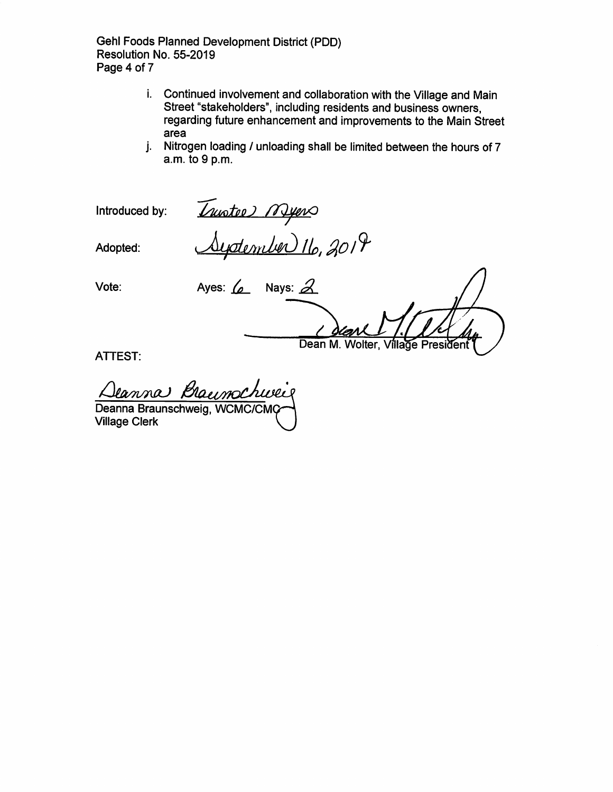**Gehl Foods Planned Development District (PDD)** Resolution No. 55-2019 Page 4 of 7

- i. Continued involvement and collaboration with the Village and Main Street "stakeholders", including residents and business owners, regarding future enhancement and improvements to the Main Street area
- j. Nitrogen loading / unloading shall be limited between the hours of 7 a.m. to 9 p.m.

Introduced by:

Invotee) Myers<br><u>Systember 1</u>6, 2019

Adopted:

Vote:

Ayes:  $\angle$  Nays:  $\triangle$ Dean M. Wolter, Village President

**ATTEST:** 

Deanna Braumchweis Deanna Braunschweig, WCMC/CMC **Village Clerk**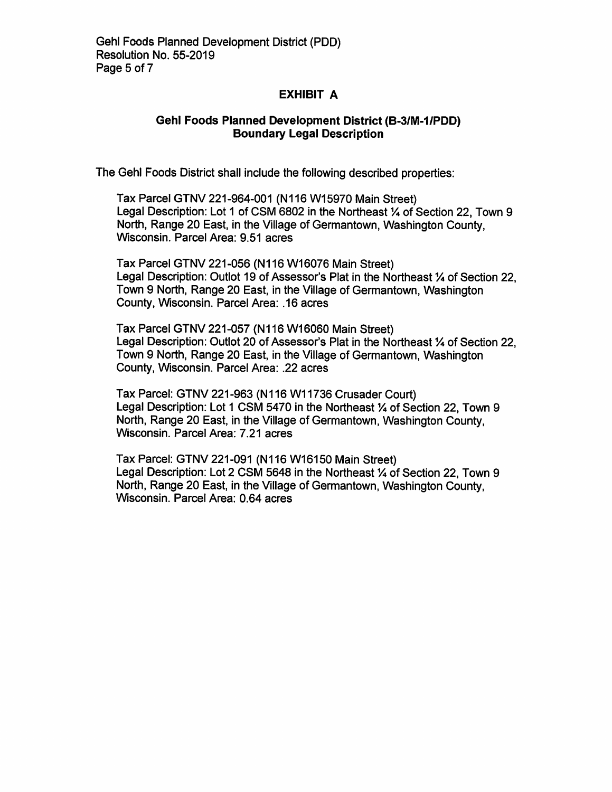#### **EXHIBIT A**

#### **Gehl Foods Planned Development District (B-3/M-1/PDD) Boundary Legal Description**

The Gehl Foods District shall include the following described properties:

Tax Parcel GTNV 221-964-001 (N116 W15970 Main Street) Legal Description: Lot 1 of CSM 6802 in the Northeast 1/4 of Section 22. Town 9 North, Range 20 East, in the Village of Germantown, Washington County, Wisconsin. Parcel Area: 9.51 acres

Tax Parcel GTNV 221-056 (N116 W16076 Main Street) Legal Description: Outlot 19 of Assessor's Plat in the Northeast 1/4 of Section 22, Town 9 North, Range 20 East, in the Village of Germantown, Washington County, Wisconsin. Parcel Area: .16 acres

Tax Parcel GTNV 221-057 (N116 W16060 Main Street) Legal Description: Outlot 20 of Assessor's Plat in the Northeast 1/4 of Section 22. Town 9 North, Range 20 East, in the Village of Germantown, Washington County, Wisconsin. Parcel Area: .22 acres

Tax Parcel: GTNV 221-963 (N116 W11736 Crusader Court) Legal Description: Lot 1 CSM 5470 in the Northeast 1/4 of Section 22. Town 9 North, Range 20 East, in the Village of Germantown, Washington County, Wisconsin. Parcel Area: 7.21 acres

Tax Parcel: GTNV 221-091 (N116 W16150 Main Street) Legal Description: Lot 2 CSM 5648 in the Northeast 1/4 of Section 22, Town 9 North. Range 20 East, in the Village of Germantown, Washington County, Wisconsin. Parcel Area: 0.64 acres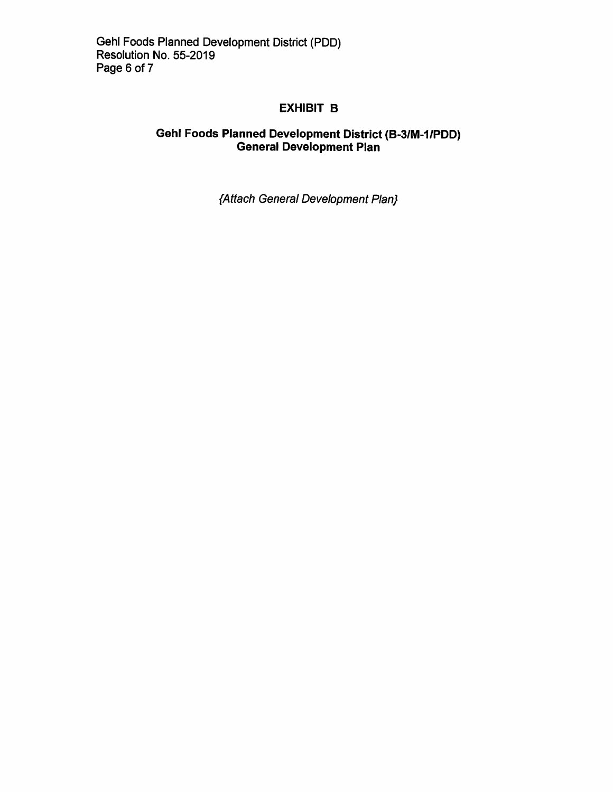#### **EXHIBIT B**

# Gehl Foods Planned Development District (B-3/M-1/PDD)<br>General Development Plan

{Attach General Development Plan}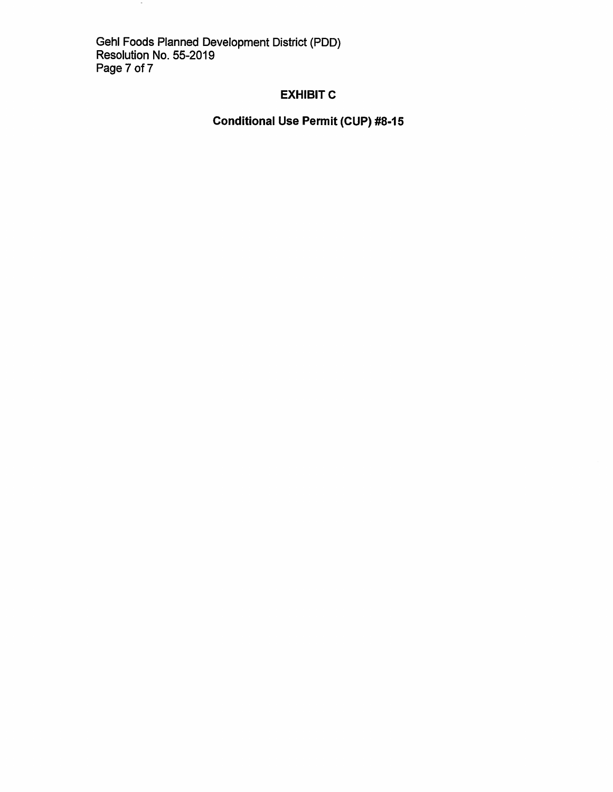Gehl Foods Planned Development District (PDD)<br>Resolution No. 55-2019<br>Page 7 of 7

 $\sim$ 

#### **EXHIBIT C**

### **Conditional Use Permit (CUP) #8-15**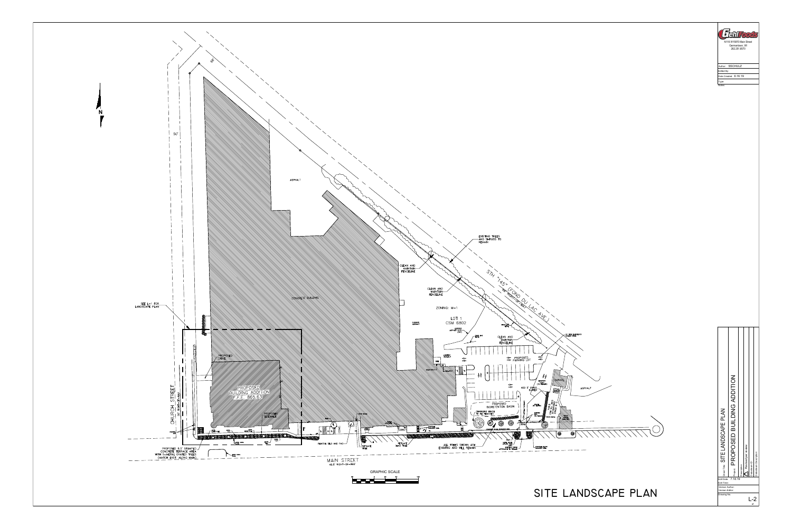

Drawing No.

# of

|                               | FehlFoods                                                      |
|-------------------------------|----------------------------------------------------------------|
|                               | N116 W15970 Main Street<br>Germantown, WI<br>262.251.8570      |
|                               |                                                                |
|                               | Author: SSCHULZ<br>Edited By:<br>Date Created: 6.16.19         |
|                               | Type:<br>Notes:                                                |
|                               |                                                                |
|                               |                                                                |
|                               |                                                                |
|                               |                                                                |
|                               |                                                                |
|                               |                                                                |
|                               |                                                                |
|                               |                                                                |
|                               |                                                                |
|                               |                                                                |
|                               |                                                                |
|                               |                                                                |
|                               |                                                                |
|                               |                                                                |
|                               |                                                                |
|                               |                                                                |
|                               |                                                                |
|                               |                                                                |
|                               |                                                                |
|                               |                                                                |
|                               |                                                                |
|                               |                                                                |
|                               |                                                                |
|                               |                                                                |
|                               |                                                                |
|                               |                                                                |
|                               |                                                                |
|                               |                                                                |
|                               |                                                                |
|                               | <b>BUILDING ADDITION</b><br>CAPE PLAN                          |
|                               |                                                                |
| 1 / / / / / / / / / / / / / / |                                                                |
|                               | SITE LANDS                                                     |
|                               | PROPOSED<br>Revised per review<br>Datastream Description:      |
|                               | Description:<br>Sheet Title:                                   |
|                               | $\sim$                                                         |
|                               | Datastream ID:<br>Project:<br>Edit Date: 7.18.19<br>Edit Time: |
| ANDSCAPE PLAN                 | Version Author:<br>Version Editor:<br>Drawing No.<br>$L-2$     |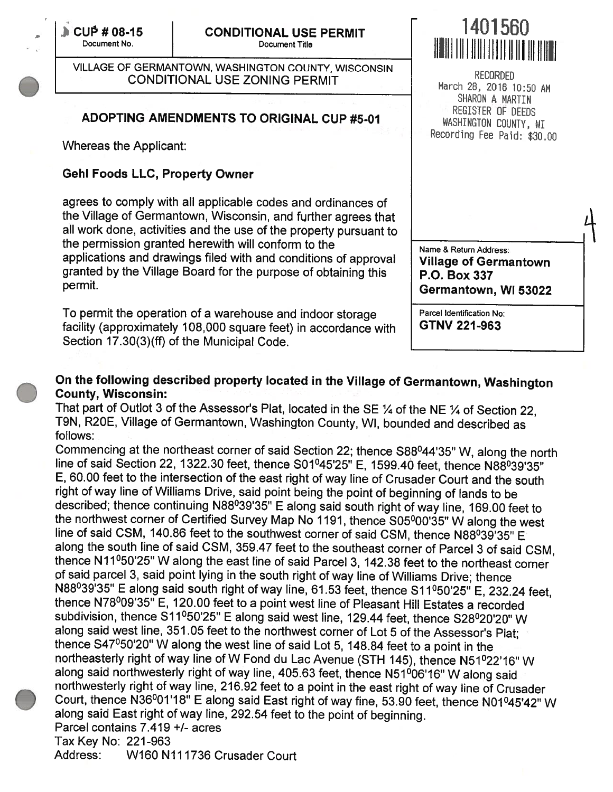$\mathbb{C} \cup \mathbb{P}$  # 08-15

VILLAGE OF GERMANTOWN, WASHINGTON COUNTY, WISCONSIN RECORDED<br>CONDITIONAL USE ZONING PERMIT March 28, 2016 10:50 AM

### ADOPTING AMENDMENTS TO ORIGINAL CUP #5-01 WASHINGTON COUNTY, WILL

Whereas the Applicant:

#### Gehi Foods LLC, Property Owner

agrees to comply with all applicable codes and ordinances of the Village of Germantown, Wisconsin, and further agrees that all work done, activities and the use of the property pursuant to the permission granted herewith will conform to the<br>applications and drawings filed with and conditions of approval Village of Germi applications and drawings filed with and conditions of approval Village of Germantown granted by the Village Board for the purpose of obtaining this P.O. Box 337 permit. **Germantown, WI 53022** 

To permit the operation of a warehouse and indoor storage Parcel Identification No facility (approximately 108,000 square feet) in accordance with  $\parallel$  GTNV 221-963 Section 17.30(3)(ff) of the Municipal Code.

## $\sim$  080 CONDITIONAL USE PERMIT  $\sim$  1401560 Document No. Document Title BIB B B B I B B I B I

SHARON A MARTIN Recording Fee Paid: \$30.00

# On the following described property located in the Village of Germantown, Washington County, Wisconsin:

That part of Outlot 3 of the Assessor's Plat, located in the SE  $\%$  of the NE  $\%$  of Section 22, T9N, R2OE, Village of Germantown, Washington County, WI, bounded and described as follows:

Commencing at the northeast corner of said Section 22; thence S88°44'35" W, along the north line of said Section 22, 1322.30 feet, thence S01°45'25" E, 1599.40 feet, thence N88°39'35" E, 60.00 feet to the intersection of the east right of way line of Crusader Court and the south right of way line of Williams Drive, said point being the point of beginning of lands to be described; thence continuing N88°39'35" <sup>E</sup> along said south right of way line, 169.00 feet to the northwest corner of Certified Survey Map No 1191, thence S05°00'35" W along the west the northwest corner of Certified Survey Map No 1191, thence S05º00'35" W along the west<br>line of said CSM, 140.86 feet to the southwest corner of said CSM, thence N88º39'35" E along the south line of said CSM, 359.47 feet to the southeast corner of Parcel 3 of said CSM, thence N11º50'25" W along the east line of said Parcel 3, 142.38 feet to the northeast corner of said parcel 3, said point lying in the south right of way line of Williams Drive; thence N88º39'35" E along said south right of way line, 61.53 feet, thence S11º50'25" E, 232.24 feet, thence N78°09'35" E, 120.00 feet to <sup>a</sup> point west line of Pleasant Hill Estates <sup>a</sup> recorded subdivision, thence S11°50'25" <sup>E</sup> along said west line, 129.44 feet, thence S28°20'20" W along said west line, <sup>351</sup> .05 feet to the northwest corner of Lot <sup>5</sup> of the Assessor's Plat; thence S47°50'20" W along the west line of said Lot 5, 148.84 feet to <sup>a</sup> point in the northeasterly right of way line of <sup>W</sup> Fond du Lac Avenue (STH 145), thence N51°22'16" W along said northwesterly right of way line, 405.63 feet, thence N51°06'16" W along said northwesterly right of way line, 216.92 feet to <sup>a</sup> point in the east right of way line of Crusader Court, thence N36º01'18" E along said East right of way fine, 53.90 feet, thence N01º45'42" W along said East right of way line, 292.54 feet to the point of beginning. Parcel contains 7.419 +/- acres Tax Key No: 221-963 Address: W160 N111736 Crusader Court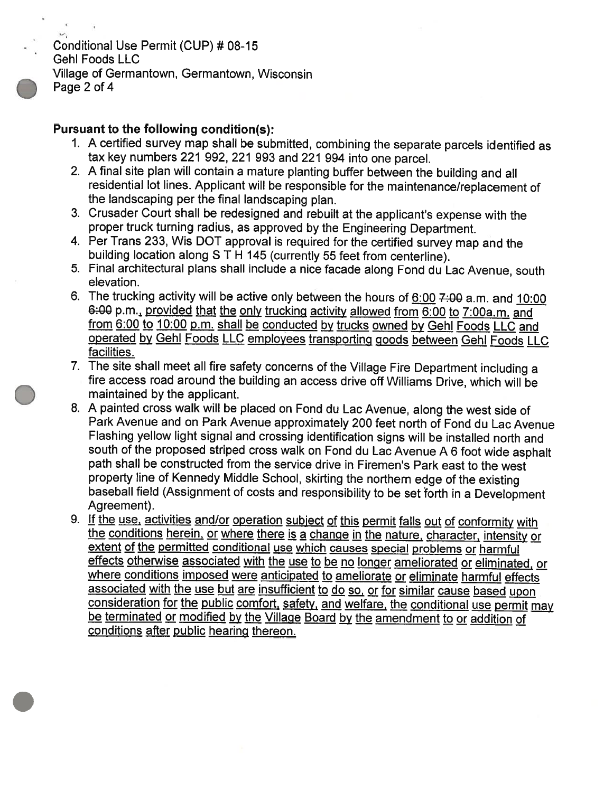Conditional Use Permit (CUP) #08-15 Gehi Foods LLC Village of Germantown, Germantown, Wisconsin Page 2 of 4

#### Pursuant to the following condition(s);

- 1. <sup>A</sup> certified survey map shall be submitted, combining the separate parcels identified as tax key numbers <sup>221</sup> 992, <sup>221</sup> <sup>993</sup> and <sup>221</sup> <sup>994</sup> into one parcel.
- 2. A final site plan will contain <sup>a</sup> mature <sup>p</sup>lanting buffer between the building and all residential lot lines. Applicant will be responsible for the maintenance/replacement of the landscaping per the final landscaping <sup>p</sup>lan.
- 3. Crusader Court shall be redesigned and rebuilt at the applicant's expense with the proper truck turning radius, as approved by the Engineering Department.
- 4. Per Trans 233, Wis DOT approval is required for the certified survey map and the building location along S T <sup>H</sup> 145 (currently 55 feet from centerline).
- 5. Final architectural plans shall include <sup>a</sup> nice facade along Fond du Lac Avenue, south elevation.
- 6. The trucking activity will be active only between the hours of  $6:00$  7:00 a.m. and 10:00 6:00 p.m., provided that the only trucking activity allowed from 6:00 to 7:00a.m. and <u>from 6:00 to 10:00 p.m. shall be conducted by trucks owned</u> from 6:00 to 10:00 p.m. shall be conducted by trucks owned by Gehl Foods LLC and<br>operated by Gehl Foods LLC employees transporting goods between Gehl Foods LLC facilities.
- 7. The site shall meet all fire safety concerns of the Village Fire Department including a fire access road around the building an access drive off Williams Drive, which will be maintained by the applicant.
- 8. <sup>A</sup> painted cross walk will be <sup>p</sup>laced on Fond du Lac Avenue, along the west side of Park Avenue and on Park Avenue approximately 200 feet north of Fond du Lac Avenue Flashing yellow light signal and crossing identification signs will be installed north and south of the proposed striped cross walk on Fond du Lac Avenue A <sup>6</sup> foot wide asphalt path shall be constructed from the service drive in Firemen's Park east to the west property line of Kennedy Middle School, skirting the northern edge of the existing baseball field (Assignment of costs and responsibility to be set forth in <sup>a</sup> Development Agreement).
- 9. If the use, activities and/or operation subject of this permit falls out of conformity with <u>a change in the nature, character, intensity or</u> extent of the permitted conditional use which causes special problems or harmful effects otherwise associated with the use to be no longer ameliorated or eliminated, or where conditions imposed were anticipated to ameliorate or eliminate harmful effects associated with the use but are insufficient to do so, or for similar cause based upon consideration for the public comfort, safety, and welfare, the conditional use permit may be terminated or modified by the Village Board by the amendment to or addition of<br>conditions after public hearing thereon.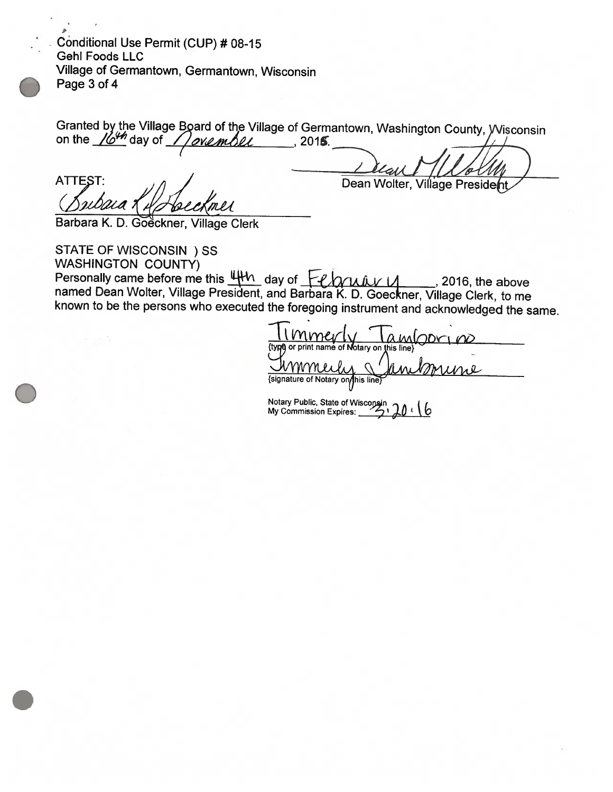fr Conditional Use Permit (CUP) # 08-15 Gehi Foods LLC Village of Germantown, Germantown, Wisconsin Page 3 of 4

| Granted by the Village Board of the Village of Germantown, Washington County, Wisconsin on the $\frac{1649}{100}$ day of $\sqrt{$ over the United Sections 2015. |  |
|------------------------------------------------------------------------------------------------------------------------------------------------------------------|--|
|                                                                                                                                                                  |  |
| Dear MI Allen                                                                                                                                                    |  |

**ATTEST** Bubaia Kil Speckmer

Dean Wolter, Village President

Barbara K. D. Goeckner, Village Clerk

STATE OF WISCONSIN ) SS<br>WASHINGTON COUNTY)<br>Personally came before me this  $\frac{u_1u_2}{v_1}$  day of  $\frac{u_2v_1}{v_2}$ Personally came before me this  $\frac{u+v_0}{v}$  day of  $\frac{u+v_0}{v}$  and Barbara K. D. Goeckner, Village Clerk, to me known to be the persons who executed the foregoing instrument and acknowledged the same.

mmert ambori {type} or print name of Notary on this line {signature of Notary on/his line}

Notary Public, State of Wisconsin<br>My Commission Expires: <u>المرک</u>ب